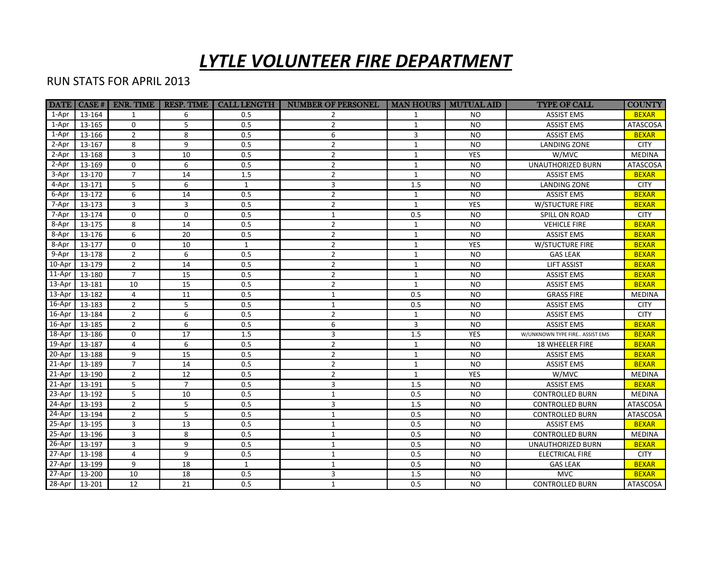## *LYTLE VOLUNTEER FIRE DEPARTMENT*

## RUN STATS FOR APRIL 2013

|            |               | DATA   CASE #   ENR. TIME | <b>RESP. TIME</b> | <b>CALL LENGTH</b> | <b>NUMBER OF PERSONEL</b> | MAN HOURS   MUTUAL AID |            | <b>TYPE OF CALL</b>            | <b>COUNTY</b>   |
|------------|---------------|---------------------------|-------------------|--------------------|---------------------------|------------------------|------------|--------------------------------|-----------------|
| 1-Apr      | 13-164        | 1                         | 6                 | 0.5                | $\overline{2}$            | 1                      | <b>NO</b>  | <b>ASSIST EMS</b>              | <b>BEXAR</b>    |
| 1-Apr      | 13-165        | $\mathbf 0$               | 5                 | 0.5                | $\overline{2}$            | $\mathbf{1}$           | <b>NO</b>  | <b>ASSIST EMS</b>              | ATASCOSA        |
| 1-Apr      | 13-166        | $\overline{2}$            | 8                 | 0.5                | 6                         | $\overline{3}$         | <b>NO</b>  | <b>ASSIST EMS</b>              | <b>BEXAR</b>    |
| 2-Apr      | 13-167        | 8                         | 9                 | 0.5                | $\overline{2}$            | $\mathbf{1}$           | <b>NO</b>  | LANDING ZONE                   | <b>CITY</b>     |
| 2-Apr      | 13-168        | $\overline{3}$            | 10                | 0.5                | $\overline{2}$            | $\mathbf{1}$           | <b>YES</b> | W/MVC                          | <b>MEDINA</b>   |
| 2-Apr      | 13-169        | $\mathbf 0$               | 6                 | 0.5                | $\overline{2}$            | $\mathbf{1}$           | <b>NO</b>  | <b>UNAUTHORIZED BURN</b>       | <b>ATASCOSA</b> |
| 3-Apr      | 13-170        | $\overline{7}$            | 14                | 1.5                | $\overline{2}$            | $\mathbf{1}$           | <b>NO</b>  | <b>ASSIST EMS</b>              | <b>BEXAR</b>    |
| 4-Apr      | 13-171        | 5                         | 6                 | $\mathbf{1}$       | 3                         | 1.5                    | <b>NO</b>  | LANDING ZONE                   | <b>CITY</b>     |
| 6-Apr      | 13-172        | 6                         | 14                | 0.5                | $\overline{2}$            | $\mathbf{1}$           | <b>NO</b>  | <b>ASSIST EMS</b>              | <b>BEXAR</b>    |
| 7-Apr      | 13-173        | 3                         | 3                 | 0.5                | $\overline{2}$            | $\mathbf{1}$           | <b>YES</b> | W/STUCTURE FIRE                | <b>BEXAR</b>    |
| 7-Apr      | 13-174        | $\mathbf 0$               | $\Omega$          | 0.5                | $\mathbf{1}$              | 0.5                    | <b>NO</b>  | SPILL ON ROAD                  | <b>CITY</b>     |
| 8-Apr      | 13-175        | 8                         | 14                | 0.5                | $\overline{2}$            | $\mathbf{1}$           | <b>NO</b>  | <b>VEHICLE FIRE</b>            | <b>BEXAR</b>    |
| 8-Apr      | 13-176        | 6                         | 20                | 0.5                | $\overline{2}$            | $\mathbf{1}$           | <b>NO</b>  | <b>ASSIST EMS</b>              | <b>BEXAR</b>    |
| 8-Apr      | 13-177        | $\mathbf 0$               | 10                | $\mathbf{1}$       | $\overline{2}$            | $\mathbf{1}$           | YES        | W/STUCTURE FIRE                | <b>BEXAR</b>    |
| $9-$ Apr   | 13-178        | $\overline{2}$            | 6                 | 0.5                | $\overline{2}$            | $\mathbf{1}$           | <b>NO</b>  | <b>GAS LEAK</b>                | <b>BEXAR</b>    |
| $10-Apr$   | 13-179        | $\overline{2}$            | 14                | 0.5                | $\overline{2}$            | $\mathbf{1}$           | <b>NO</b>  | <b>LIFT ASSIST</b>             | <b>BEXAR</b>    |
| 11-Apr     | 13-180        | $\overline{7}$            | 15                | 0.5                | $\overline{2}$            | $\mathbf{1}$           | <b>NO</b>  | <b>ASSIST EMS</b>              | <b>BEXAR</b>    |
| 13-Apr     | 13-181        | 10                        | 15                | 0.5                | $\overline{2}$            | $\mathbf{1}$           | <b>NO</b>  | <b>ASSIST EMS</b>              | <b>BEXAR</b>    |
| $13$ -Apr  | 13-182        | 4                         | 11                | 0.5                | $1\,$                     | 0.5                    | <b>NO</b>  | <b>GRASS FIRE</b>              | <b>MEDINA</b>   |
|            | 16-Apr 13-183 | $\overline{2}$            | 5                 | 0.5                | $\mathbf{1}$              | 0.5                    | <b>NO</b>  | <b>ASSIST EMS</b>              | <b>CITY</b>     |
|            | 16-Apr 13-184 | $\overline{2}$            | 6                 | 0.5                | $\overline{2}$            | $\mathbf{1}$           | <b>NO</b>  | <b>ASSIST EMS</b>              | <b>CITY</b>     |
|            | 16-Apr 13-185 | $\overline{2}$            | 6                 | 0.5                | 6                         | 3                      | <b>NO</b>  | <b>ASSIST EMS</b>              | <b>BEXAR</b>    |
| 18-Apr     | 13-186        | $\mathbf 0$               | 17                | 1.5                | 3                         | 1.5                    | <b>YES</b> | W/UNKNOWN TYPE FIRE ASSIST EMS | <b>BEXAR</b>    |
| 19-Apr     | 13-187        | $\overline{4}$            | 6                 | 0.5                | $\overline{2}$            | $\mathbf{1}$           | <b>NO</b>  | 18 WHEELER FIRE                | <b>BEXAR</b>    |
| 20-Apr     | 13-188        | 9                         | 15                | 0.5                | $\overline{2}$            | $\mathbf{1}$           | <b>NO</b>  | <b>ASSIST EMS</b>              | <b>BEXAR</b>    |
| 21-Apr     | 13-189        | $\overline{7}$            | 14                | 0.5                | $\overline{2}$            | $\mathbf{1}$           | <b>NO</b>  | <b>ASSIST EMS</b>              | <b>BEXAR</b>    |
| $21-Apr$   | 13-190        | $\overline{2}$            | 12                | 0.5                | $\overline{2}$            | $\mathbf{1}$           | YES        | W/MVC                          | <b>MEDINA</b>   |
|            | 21-Apr 13-191 | 5                         | $\overline{7}$    | 0.5                | 3                         | 1.5                    | <b>NO</b>  | <b>ASSIST EMS</b>              | <b>BEXAR</b>    |
| 23-Apr     | 13-192        | 5                         | 10                | 0.5                | $\mathbf 1$               | 0.5                    | <b>NO</b>  | <b>CONTROLLED BURN</b>         | <b>MEDINA</b>   |
| 24-Apr     | 13-193        | $\overline{2}$            | 5                 | 0.5                | 3                         | 1.5                    | <b>NO</b>  | <b>CONTROLLED BURN</b>         | <b>ATASCOSA</b> |
| $24-Apr$   | 13-194        | $\overline{2}$            | 5                 | 0.5                | $\mathbf{1}$              | 0.5                    | <b>NO</b>  | <b>CONTROLLED BURN</b>         | <b>ATASCOSA</b> |
|            | 25-Apr 13-195 | 3                         | 13                | 0.5                | $\mathbf{1}$              | 0.5                    | <b>NO</b>  | <b>ASSIST EMS</b>              | <b>BEXAR</b>    |
|            | 25-Apr 13-196 | $\overline{3}$            | 8                 | 0.5                | $\mathbf{1}$              | 0.5                    | <b>NO</b>  | <b>CONTROLLED BURN</b>         | <b>MEDINA</b>   |
|            | 26-Apr 13-197 | 3                         | 9                 | 0.5                | $1\,$                     | 0.5                    | <b>NO</b>  | UNAUTHORIZED BURN              | <b>BEXAR</b>    |
| 27-Apr     | 13-198        | 4                         | 9                 | 0.5                | $\mathbf 1$               | 0.5                    | <b>NO</b>  | ELECTRICAL FIRE                | <b>CITY</b>     |
| 27-Apr     | 13-199        | 9                         | 18                | $\mathbf{1}$       | $\mathbf{1}$              | 0.5                    | <b>NO</b>  | <b>GAS LEAK</b>                | <b>BEXAR</b>    |
| $27 - Apr$ | 13-200        | 10                        | 18                | 0.5                | 3                         | 1.5                    | NO.        | <b>MVC</b>                     | <b>BEXAR</b>    |
|            | 28-Apr 13-201 | 12                        | 21                | 0.5                | $\mathbf{1}$              | 0.5                    | <b>NO</b>  | <b>CONTROLLED BURN</b>         | ATASCOSA        |